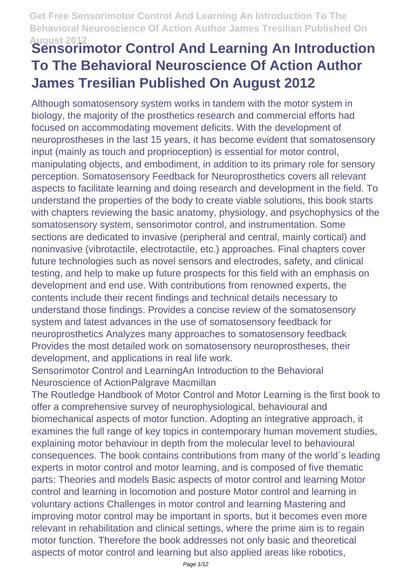# **August 2012 Sensorimotor Control And Learning An Introduction To The Behavioral Neuroscience Of Action Author James Tresilian Published On August 2012**

Although somatosensory system works in tandem with the motor system in biology, the majority of the prosthetics research and commercial efforts had focused on accommodating movement deficits. With the development of neuroprostheses in the last 15 years, it has become evident that somatosensory input (mainly as touch and proprioception) is essential for motor control, manipulating objects, and embodiment, in addition to its primary role for sensory perception. Somatosensory Feedback for Neuroprosthetics covers all relevant aspects to facilitate learning and doing research and development in the field. To understand the properties of the body to create viable solutions, this book starts with chapters reviewing the basic anatomy, physiology, and psychophysics of the somatosensory system, sensorimotor control, and instrumentation. Some sections are dedicated to invasive (peripheral and central, mainly cortical) and noninvasive (vibrotactile, electrotactile, etc.) approaches. Final chapters cover future technologies such as novel sensors and electrodes, safety, and clinical testing, and help to make up future prospects for this field with an emphasis on development and end use. With contributions from renowned experts, the contents include their recent findings and technical details necessary to understand those findings. Provides a concise review of the somatosensory system and latest advances in the use of somatosensory feedback for neuroprosthetics Analyzes many approaches to somatosensory feedback Provides the most detailed work on somatosensory neuroprostheses, their development, and applications in real life work.

Sensorimotor Control and LearningAn Introduction to the Behavioral Neuroscience of ActionPalgrave Macmillan

The Routledge Handbook of Motor Control and Motor Learning is the first book to offer a comprehensive survey of neurophysiological, behavioural and biomechanical aspects of motor function. Adopting an integrative approach, it examines the full range of key topics in contemporary human movement studies, explaining motor behaviour in depth from the molecular level to behavioural consequences. The book contains contributions from many of the world´s leading experts in motor control and motor learning, and is composed of five thematic parts: Theories and models Basic aspects of motor control and learning Motor control and learning in locomotion and posture Motor control and learning in voluntary actions Challenges in motor control and learning Mastering and improving motor control may be important in sports, but it becomes even more relevant in rehabilitation and clinical settings, where the prime aim is to regain motor function. Therefore the book addresses not only basic and theoretical aspects of motor control and learning but also applied areas like robotics,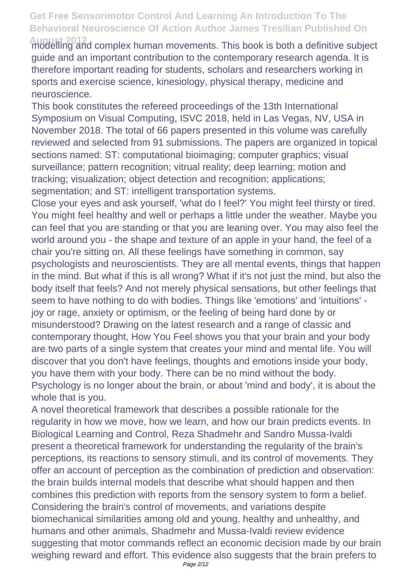**August 2012** modelling and complex human movements. This book is both a definitive subject guide and an important contribution to the contemporary research agenda. It is therefore important reading for students, scholars and researchers working in sports and exercise science, kinesiology, physical therapy, medicine and neuroscience.

This book constitutes the refereed proceedings of the 13th International Symposium on Visual Computing, ISVC 2018, held in Las Vegas, NV, USA in November 2018. The total of 66 papers presented in this volume was carefully reviewed and selected from 91 submissions. The papers are organized in topical sections named: ST: computational bioimaging; computer graphics; visual surveillance; pattern recognition; vitrual reality; deep learning; motion and tracking; visualization; object detection and recognition; applications; segmentation; and ST: intelligent transportation systems.

Close your eyes and ask yourself, 'what do I feel?' You might feel thirsty or tired. You might feel healthy and well or perhaps a little under the weather. Maybe you can feel that you are standing or that you are leaning over. You may also feel the world around you - the shape and texture of an apple in your hand, the feel of a chair you're sitting on. All these feelings have something in common, say psychologists and neuroscientists. They are all mental events, things that happen in the mind. But what if this is all wrong? What if it's not just the mind, but also the body itself that feels? And not merely physical sensations, but other feelings that seem to have nothing to do with bodies. Things like 'emotions' and 'intuitions' joy or rage, anxiety or optimism, or the feeling of being hard done by or misunderstood? Drawing on the latest research and a range of classic and contemporary thought, How You Feel shows you that your brain and your body are two parts of a single system that creates your mind and mental life. You will discover that you don't have feelings, thoughts and emotions inside your body, you have them with your body. There can be no mind without the body. Psychology is no longer about the brain, or about 'mind and body', it is about the whole that is you.

A novel theoretical framework that describes a possible rationale for the regularity in how we move, how we learn, and how our brain predicts events. In Biological Learning and Control, Reza Shadmehr and Sandro Mussa-Ivaldi present a theoretical framework for understanding the regularity of the brain's perceptions, its reactions to sensory stimuli, and its control of movements. They offer an account of perception as the combination of prediction and observation: the brain builds internal models that describe what should happen and then combines this prediction with reports from the sensory system to form a belief. Considering the brain's control of movements, and variations despite biomechanical similarities among old and young, healthy and unhealthy, and humans and other animals, Shadmehr and Mussa-Ivaldi review evidence suggesting that motor commands reflect an economic decision made by our brain weighing reward and effort. This evidence also suggests that the brain prefers to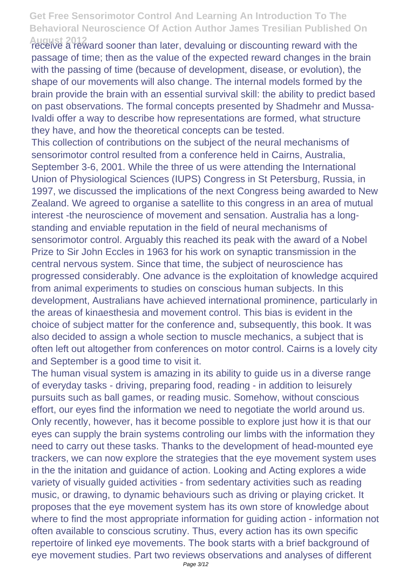**August 2012** receive a reward sooner than later, devaluing or discounting reward with the passage of time; then as the value of the expected reward changes in the brain with the passing of time (because of development, disease, or evolution), the shape of our movements will also change. The internal models formed by the brain provide the brain with an essential survival skill: the ability to predict based on past observations. The formal concepts presented by Shadmehr and Mussa-Ivaldi offer a way to describe how representations are formed, what structure they have, and how the theoretical concepts can be tested.

This collection of contributions on the subject of the neural mechanisms of sensorimotor control resulted from a conference held in Cairns, Australia, September 3-6, 2001. While the three of us were attending the International Union of Physiological Sciences (IUPS) Congress in St Petersburg, Russia, in 1997, we discussed the implications of the next Congress being awarded to New Zealand. We agreed to organise a satellite to this congress in an area of mutual interest -the neuroscience of movement and sensation. Australia has a longstanding and enviable reputation in the field of neural mechanisms of sensorimotor control. Arguably this reached its peak with the award of a Nobel Prize to Sir John Eccles in 1963 for his work on synaptic transmission in the central nervous system. Since that time, the subject of neuroscience has progressed considerably. One advance is the exploitation of knowledge acquired from animal experiments to studies on conscious human subjects. In this development, Australians have achieved international prominence, particularly in the areas of kinaesthesia and movement control. This bias is evident in the choice of subject matter for the conference and, subsequently, this book. It was also decided to assign a whole section to muscle mechanics, a subject that is often left out altogether from conferences on motor control. Cairns is a lovely city and September is a good time to visit it.

The human visual system is amazing in its ability to guide us in a diverse range of everyday tasks - driving, preparing food, reading - in addition to leisurely pursuits such as ball games, or reading music. Somehow, without conscious effort, our eyes find the information we need to negotiate the world around us. Only recently, however, has it become possible to explore just how it is that our eyes can supply the brain systems controling our limbs with the information they need to carry out these tasks. Thanks to the development of head-mounted eye trackers, we can now explore the strategies that the eye movement system uses in the the initation and guidance of action. Looking and Acting explores a wide variety of visually guided activities - from sedentary activities such as reading music, or drawing, to dynamic behaviours such as driving or playing cricket. It proposes that the eye movement system has its own store of knowledge about where to find the most appropriate information for guiding action - information not often available to conscious scrutiny. Thus, every action has its own specific repertoire of linked eye movements. The book starts with a brief background of eye movement studies. Part two reviews observations and analyses of different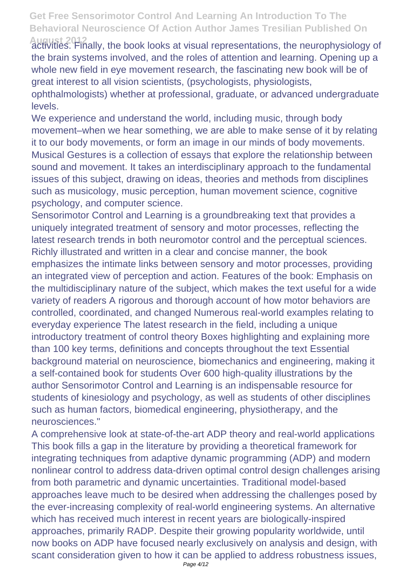**August 2012** activities. Finally, the book looks at visual representations, the neurophysiology of the brain systems involved, and the roles of attention and learning. Opening up a whole new field in eye movement research, the fascinating new book will be of great interest to all vision scientists, (psychologists, physiologists,

ophthalmologists) whether at professional, graduate, or advanced undergraduate levels.

We experience and understand the world, including music, through body movement–when we hear something, we are able to make sense of it by relating it to our body movements, or form an image in our minds of body movements. Musical Gestures is a collection of essays that explore the relationship between sound and movement. It takes an interdisciplinary approach to the fundamental issues of this subject, drawing on ideas, theories and methods from disciplines such as musicology, music perception, human movement science, cognitive psychology, and computer science.

Sensorimotor Control and Learning is a groundbreaking text that provides a uniquely integrated treatment of sensory and motor processes, reflecting the latest research trends in both neuromotor control and the perceptual sciences. Richly illustrated and written in a clear and concise manner, the book emphasizes the intimate links between sensory and motor processes, providing an integrated view of perception and action. Features of the book: Emphasis on the multidisciplinary nature of the subject, which makes the text useful for a wide variety of readers A rigorous and thorough account of how motor behaviors are controlled, coordinated, and changed Numerous real-world examples relating to everyday experience The latest research in the field, including a unique introductory treatment of control theory Boxes highlighting and explaining more than 100 key terms, definitions and concepts throughout the text Essential background material on neuroscience, biomechanics and engineering, making it a self-contained book for students Over 600 high-quality illustrations by the author Sensorimotor Control and Learning is an indispensable resource for students of kinesiology and psychology, as well as students of other disciplines such as human factors, biomedical engineering, physiotherapy, and the neurosciences."

A comprehensive look at state-of-the-art ADP theory and real-world applications This book fills a gap in the literature by providing a theoretical framework for integrating techniques from adaptive dynamic programming (ADP) and modern nonlinear control to address data-driven optimal control design challenges arising from both parametric and dynamic uncertainties. Traditional model-based approaches leave much to be desired when addressing the challenges posed by the ever-increasing complexity of real-world engineering systems. An alternative which has received much interest in recent years are biologically-inspired approaches, primarily RADP. Despite their growing popularity worldwide, until now books on ADP have focused nearly exclusively on analysis and design, with scant consideration given to how it can be applied to address robustness issues,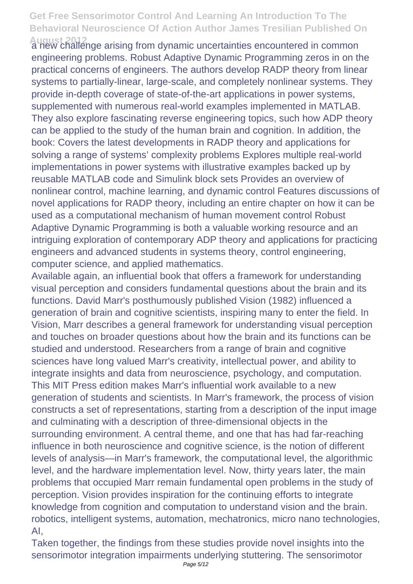**August 2012** a new challenge arising from dynamic uncertainties encountered in common engineering problems. Robust Adaptive Dynamic Programming zeros in on the practical concerns of engineers. The authors develop RADP theory from linear systems to partially-linear, large-scale, and completely nonlinear systems. They provide in-depth coverage of state-of-the-art applications in power systems, supplemented with numerous real-world examples implemented in MATLAB. They also explore fascinating reverse engineering topics, such how ADP theory can be applied to the study of the human brain and cognition. In addition, the book: Covers the latest developments in RADP theory and applications for solving a range of systems' complexity problems Explores multiple real-world implementations in power systems with illustrative examples backed up by reusable MATLAB code and Simulink block sets Provides an overview of nonlinear control, machine learning, and dynamic control Features discussions of novel applications for RADP theory, including an entire chapter on how it can be used as a computational mechanism of human movement control Robust Adaptive Dynamic Programming is both a valuable working resource and an intriguing exploration of contemporary ADP theory and applications for practicing engineers and advanced students in systems theory, control engineering, computer science, and applied mathematics.

Available again, an influential book that offers a framework for understanding visual perception and considers fundamental questions about the brain and its functions. David Marr's posthumously published Vision (1982) influenced a generation of brain and cognitive scientists, inspiring many to enter the field. In Vision, Marr describes a general framework for understanding visual perception and touches on broader questions about how the brain and its functions can be studied and understood. Researchers from a range of brain and cognitive sciences have long valued Marr's creativity, intellectual power, and ability to integrate insights and data from neuroscience, psychology, and computation. This MIT Press edition makes Marr's influential work available to a new generation of students and scientists. In Marr's framework, the process of vision constructs a set of representations, starting from a description of the input image and culminating with a description of three-dimensional objects in the surrounding environment. A central theme, and one that has had far-reaching influence in both neuroscience and cognitive science, is the notion of different levels of analysis—in Marr's framework, the computational level, the algorithmic level, and the hardware implementation level. Now, thirty years later, the main problems that occupied Marr remain fundamental open problems in the study of perception. Vision provides inspiration for the continuing efforts to integrate knowledge from cognition and computation to understand vision and the brain. robotics, intelligent systems, automation, mechatronics, micro nano technologies, AI,

Taken together, the findings from these studies provide novel insights into the sensorimotor integration impairments underlying stuttering. The sensorimotor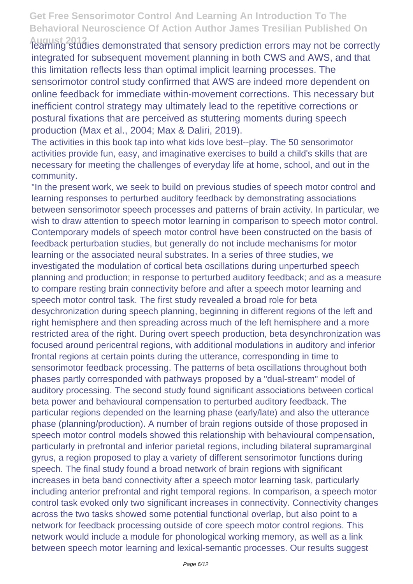**August 2012** learning studies demonstrated that sensory prediction errors may not be correctly integrated for subsequent movement planning in both CWS and AWS, and that this limitation reflects less than optimal implicit learning processes. The sensorimotor control study confirmed that AWS are indeed more dependent on online feedback for immediate within-movement corrections. This necessary but inefficient control strategy may ultimately lead to the repetitive corrections or postural fixations that are perceived as stuttering moments during speech production (Max et al., 2004; Max & Daliri, 2019).

The activities in this book tap into what kids love best--play. The 50 sensorimotor activities provide fun, easy, and imaginative exercises to build a child's skills that are necessary for meeting the challenges of everyday life at home, school, and out in the community.

"In the present work, we seek to build on previous studies of speech motor control and learning responses to perturbed auditory feedback by demonstrating associations between sensorimotor speech processes and patterns of brain activity. In particular, we wish to draw attention to speech motor learning in comparison to speech motor control. Contemporary models of speech motor control have been constructed on the basis of feedback perturbation studies, but generally do not include mechanisms for motor learning or the associated neural substrates. In a series of three studies, we investigated the modulation of cortical beta oscillations during unperturbed speech planning and production; in response to perturbed auditory feedback; and as a measure to compare resting brain connectivity before and after a speech motor learning and speech motor control task. The first study revealed a broad role for beta desychronization during speech planning, beginning in different regions of the left and right hemisphere and then spreading across much of the left hemisphere and a more restricted area of the right. During overt speech production, beta desynchronization was focused around pericentral regions, with additional modulations in auditory and inferior frontal regions at certain points during the utterance, corresponding in time to sensorimotor feedback processing. The patterns of beta oscillations throughout both phases partly corresponded with pathways proposed by a "dual-stream" model of auditory processing. The second study found significant associations between cortical beta power and behavioural compensation to perturbed auditory feedback. The particular regions depended on the learning phase (early/late) and also the utterance phase (planning/production). A number of brain regions outside of those proposed in speech motor control models showed this relationship with behavioural compensation, particularly in prefrontal and inferior parietal regions, including bilateral supramarginal gyrus, a region proposed to play a variety of different sensorimotor functions during speech. The final study found a broad network of brain regions with significant increases in beta band connectivity after a speech motor learning task, particularly including anterior prefrontal and right temporal regions. In comparison, a speech motor control task evoked only two significant increases in connectivity. Connectivity changes across the two tasks showed some potential functional overlap, but also point to a network for feedback processing outside of core speech motor control regions. This network would include a module for phonological working memory, as well as a link between speech motor learning and lexical-semantic processes. Our results suggest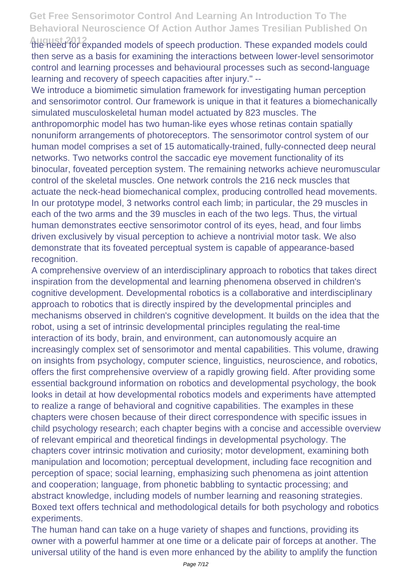**August 2012** the need for expanded models of speech production. These expanded models could then serve as a basis for examining the interactions between lower-level sensorimotor control and learning processes and behavioural processes such as second-language learning and recovery of speech capacities after injury." --

We introduce a biomimetic simulation framework for investigating human perception and sensorimotor control. Our framework is unique in that it features a biomechanically simulated musculoskeletal human model actuated by 823 muscles. The anthropomorphic model has two human-like eyes whose retinas contain spatially nonuniform arrangements of photoreceptors. The sensorimotor control system of our human model comprises a set of 15 automatically-trained, fully-connected deep neural networks. Two networks control the saccadic eye movement functionality of its binocular, foveated perception system. The remaining networks achieve neuromuscular control of the skeletal muscles. One network controls the 216 neck muscles that actuate the neck-head biomechanical complex, producing controlled head movements. In our prototype model, 3 networks control each limb; in particular, the 29 muscles in each of the two arms and the 39 muscles in each of the two legs. Thus, the virtual human demonstrates eective sensorimotor control of its eyes, head, and four limbs driven exclusively by visual perception to achieve a nontrivial motor task. We also demonstrate that its foveated perceptual system is capable of appearance-based recognition.

A comprehensive overview of an interdisciplinary approach to robotics that takes direct inspiration from the developmental and learning phenomena observed in children's cognitive development. Developmental robotics is a collaborative and interdisciplinary approach to robotics that is directly inspired by the developmental principles and mechanisms observed in children's cognitive development. It builds on the idea that the robot, using a set of intrinsic developmental principles regulating the real-time interaction of its body, brain, and environment, can autonomously acquire an increasingly complex set of sensorimotor and mental capabilities. This volume, drawing on insights from psychology, computer science, linguistics, neuroscience, and robotics, offers the first comprehensive overview of a rapidly growing field. After providing some essential background information on robotics and developmental psychology, the book looks in detail at how developmental robotics models and experiments have attempted to realize a range of behavioral and cognitive capabilities. The examples in these chapters were chosen because of their direct correspondence with specific issues in child psychology research; each chapter begins with a concise and accessible overview of relevant empirical and theoretical findings in developmental psychology. The chapters cover intrinsic motivation and curiosity; motor development, examining both manipulation and locomotion; perceptual development, including face recognition and perception of space; social learning, emphasizing such phenomena as joint attention and cooperation; language, from phonetic babbling to syntactic processing; and abstract knowledge, including models of number learning and reasoning strategies. Boxed text offers technical and methodological details for both psychology and robotics experiments.

The human hand can take on a huge variety of shapes and functions, providing its owner with a powerful hammer at one time or a delicate pair of forceps at another. The universal utility of the hand is even more enhanced by the ability to amplify the function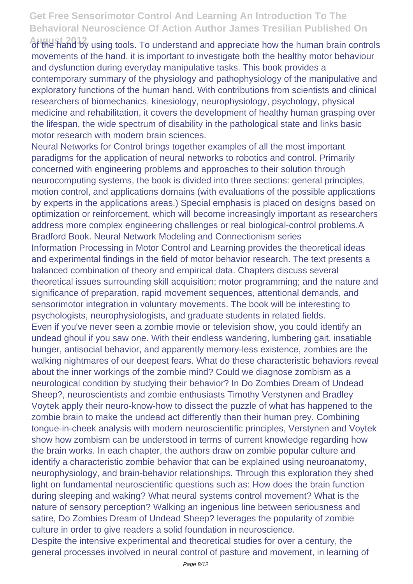**August 2012** of the hand by using tools. To understand and appreciate how the human brain controls movements of the hand, it is important to investigate both the healthy motor behaviour and dysfunction during everyday manipulative tasks. This book provides a contemporary summary of the physiology and pathophysiology of the manipulative and exploratory functions of the human hand. With contributions from scientists and clinical researchers of biomechanics, kinesiology, neurophysiology, psychology, physical medicine and rehabilitation, it covers the development of healthy human grasping over the lifespan, the wide spectrum of disability in the pathological state and links basic motor research with modern brain sciences.

Neural Networks for Control brings together examples of all the most important paradigms for the application of neural networks to robotics and control. Primarily concerned with engineering problems and approaches to their solution through neurocomputing systems, the book is divided into three sections: general principles, motion control, and applications domains (with evaluations of the possible applications by experts in the applications areas.) Special emphasis is placed on designs based on optimization or reinforcement, which will become increasingly important as researchers address more complex engineering challenges or real biological-control problems.A Bradford Book. Neural Network Modeling and Connectionism series Information Processing in Motor Control and Learning provides the theoretical ideas and experimental findings in the field of motor behavior research. The text presents a balanced combination of theory and empirical data. Chapters discuss several theoretical issues surrounding skill acquisition; motor programming; and the nature and significance of preparation, rapid movement sequences, attentional demands, and sensorimotor integration in voluntary movements. The book will be interesting to psychologists, neurophysiologists, and graduate students in related fields. Even if you've never seen a zombie movie or television show, you could identify an undead ghoul if you saw one. With their endless wandering, lumbering gait, insatiable hunger, antisocial behavior, and apparently memory-less existence, zombies are the walking nightmares of our deepest fears. What do these characteristic behaviors reveal about the inner workings of the zombie mind? Could we diagnose zombism as a neurological condition by studying their behavior? In Do Zombies Dream of Undead Sheep?, neuroscientists and zombie enthusiasts Timothy Verstynen and Bradley Voytek apply their neuro-know-how to dissect the puzzle of what has happened to the zombie brain to make the undead act differently than their human prey. Combining tongue-in-cheek analysis with modern neuroscientific principles, Verstynen and Voytek show how zombism can be understood in terms of current knowledge regarding how the brain works. In each chapter, the authors draw on zombie popular culture and identify a characteristic zombie behavior that can be explained using neuroanatomy, neurophysiology, and brain-behavior relationships. Through this exploration they shed light on fundamental neuroscientific questions such as: How does the brain function during sleeping and waking? What neural systems control movement? What is the nature of sensory perception? Walking an ingenious line between seriousness and satire, Do Zombies Dream of Undead Sheep? leverages the popularity of zombie culture in order to give readers a solid foundation in neuroscience. Despite the intensive experimental and theoretical studies for over a century, the

general processes involved in neural control of pasture and movement, in learning of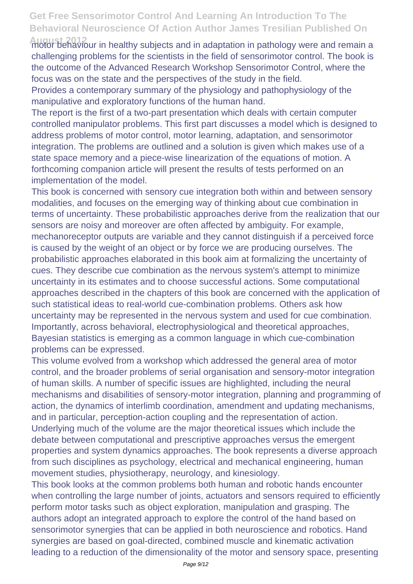**August 2012** motor behaviour in healthy subjects and in adaptation in pathology were and remain a challenging problems for the scientists in the field of sensorimotor control. The book is the outcome of the Advanced Research Workshop Sensorimotor Control, where the focus was on the state and the perspectives of the study in the field.

Provides a contemporary summary of the physiology and pathophysiology of the manipulative and exploratory functions of the human hand.

The report is the first of a two-part presentation which deals with certain computer controlled manipulator problems. This first part discusses a model which is designed to address problems of motor control, motor learning, adaptation, and sensorimotor integration. The problems are outlined and a solution is given which makes use of a state space memory and a piece-wise linearization of the equations of motion. A forthcoming companion article will present the results of tests performed on an implementation of the model.

This book is concerned with sensory cue integration both within and between sensory modalities, and focuses on the emerging way of thinking about cue combination in terms of uncertainty. These probabilistic approaches derive from the realization that our sensors are noisy and moreover are often affected by ambiguity. For example, mechanoreceptor outputs are variable and they cannot distinguish if a perceived force is caused by the weight of an object or by force we are producing ourselves. The probabilistic approaches elaborated in this book aim at formalizing the uncertainty of cues. They describe cue combination as the nervous system's attempt to minimize uncertainty in its estimates and to choose successful actions. Some computational approaches described in the chapters of this book are concerned with the application of such statistical ideas to real-world cue-combination problems. Others ask how uncertainty may be represented in the nervous system and used for cue combination. Importantly, across behavioral, electrophysiological and theoretical approaches, Bayesian statistics is emerging as a common language in which cue-combination problems can be expressed.

This volume evolved from a workshop which addressed the general area of motor control, and the broader problems of serial organisation and sensory-motor integration of human skills. A number of specific issues are highlighted, including the neural mechanisms and disabilities of sensory-motor integration, planning and programming of action, the dynamics of interlimb coordination, amendment and updating mechanisms, and in particular, perception-action coupling and the representation of action. Underlying much of the volume are the major theoretical issues which include the debate between computational and prescriptive approaches versus the emergent properties and system dynamics approaches. The book represents a diverse approach from such disciplines as psychology, electrical and mechanical engineering, human movement studies, physiotherapy, neurology, and kinesiology.

This book looks at the common problems both human and robotic hands encounter when controlling the large number of joints, actuators and sensors required to efficiently perform motor tasks such as object exploration, manipulation and grasping. The authors adopt an integrated approach to explore the control of the hand based on sensorimotor synergies that can be applied in both neuroscience and robotics. Hand synergies are based on goal-directed, combined muscle and kinematic activation leading to a reduction of the dimensionality of the motor and sensory space, presenting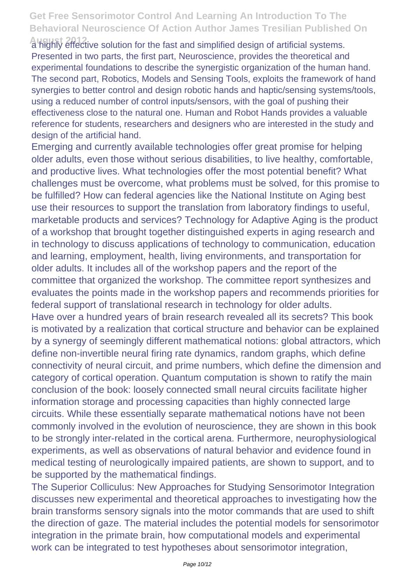**August 2012** a highly effective solution for the fast and simplified design of artificial systems. Presented in two parts, the first part, Neuroscience, provides the theoretical and experimental foundations to describe the synergistic organization of the human hand. The second part, Robotics, Models and Sensing Tools, exploits the framework of hand synergies to better control and design robotic hands and haptic/sensing systems/tools, using a reduced number of control inputs/sensors, with the goal of pushing their effectiveness close to the natural one. Human and Robot Hands provides a valuable reference for students, researchers and designers who are interested in the study and design of the artificial hand.

Emerging and currently available technologies offer great promise for helping older adults, even those without serious disabilities, to live healthy, comfortable, and productive lives. What technologies offer the most potential benefit? What challenges must be overcome, what problems must be solved, for this promise to be fulfilled? How can federal agencies like the National Institute on Aging best use their resources to support the translation from laboratory findings to useful, marketable products and services? Technology for Adaptive Aging is the product of a workshop that brought together distinguished experts in aging research and in technology to discuss applications of technology to communication, education and learning, employment, health, living environments, and transportation for older adults. It includes all of the workshop papers and the report of the committee that organized the workshop. The committee report synthesizes and evaluates the points made in the workshop papers and recommends priorities for federal support of translational research in technology for older adults. Have over a hundred years of brain research revealed all its secrets? This book

is motivated by a realization that cortical structure and behavior can be explained by a synergy of seemingly different mathematical notions: global attractors, which define non-invertible neural firing rate dynamics, random graphs, which define connectivity of neural circuit, and prime numbers, which define the dimension and category of cortical operation. Quantum computation is shown to ratify the main conclusion of the book: loosely connected small neural circuits facilitate higher information storage and processing capacities than highly connected large circuits. While these essentially separate mathematical notions have not been commonly involved in the evolution of neuroscience, they are shown in this book to be strongly inter-related in the cortical arena. Furthermore, neurophysiological experiments, as well as observations of natural behavior and evidence found in medical testing of neurologically impaired patients, are shown to support, and to be supported by the mathematical findings.

The Superior Colliculus: New Approaches for Studying Sensorimotor Integration discusses new experimental and theoretical approaches to investigating how the brain transforms sensory signals into the motor commands that are used to shift the direction of gaze. The material includes the potential models for sensorimotor integration in the primate brain, how computational models and experimental work can be integrated to test hypotheses about sensorimotor integration,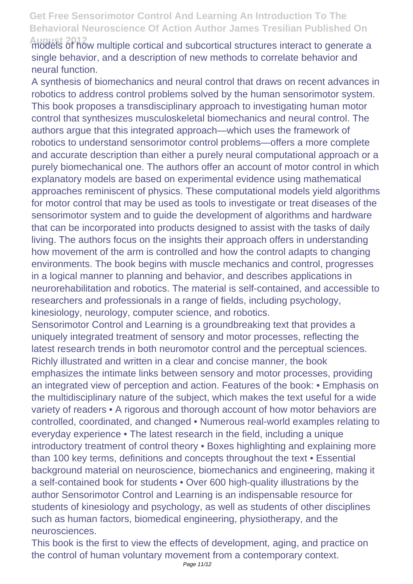**August 2012** models of how multiple cortical and subcortical structures interact to generate a single behavior, and a description of new methods to correlate behavior and neural function.

A synthesis of biomechanics and neural control that draws on recent advances in robotics to address control problems solved by the human sensorimotor system. This book proposes a transdisciplinary approach to investigating human motor control that synthesizes musculoskeletal biomechanics and neural control. The authors argue that this integrated approach—which uses the framework of robotics to understand sensorimotor control problems—offers a more complete and accurate description than either a purely neural computational approach or a purely biomechanical one. The authors offer an account of motor control in which explanatory models are based on experimental evidence using mathematical approaches reminiscent of physics. These computational models yield algorithms for motor control that may be used as tools to investigate or treat diseases of the sensorimotor system and to guide the development of algorithms and hardware that can be incorporated into products designed to assist with the tasks of daily living. The authors focus on the insights their approach offers in understanding how movement of the arm is controlled and how the control adapts to changing environments. The book begins with muscle mechanics and control, progresses in a logical manner to planning and behavior, and describes applications in neurorehabilitation and robotics. The material is self-contained, and accessible to researchers and professionals in a range of fields, including psychology, kinesiology, neurology, computer science, and robotics.

Sensorimotor Control and Learning is a groundbreaking text that provides a uniquely integrated treatment of sensory and motor processes, reflecting the latest research trends in both neuromotor control and the perceptual sciences. Richly illustrated and written in a clear and concise manner, the book emphasizes the intimate links between sensory and motor processes, providing an integrated view of perception and action. Features of the book: • Emphasis on the multidisciplinary nature of the subject, which makes the text useful for a wide variety of readers • A rigorous and thorough account of how motor behaviors are controlled, coordinated, and changed • Numerous real-world examples relating to everyday experience • The latest research in the field, including a unique introductory treatment of control theory • Boxes highlighting and explaining more than 100 key terms, definitions and concepts throughout the text • Essential background material on neuroscience, biomechanics and engineering, making it a self-contained book for students • Over 600 high-quality illustrations by the author Sensorimotor Control and Learning is an indispensable resource for students of kinesiology and psychology, as well as students of other disciplines such as human factors, biomedical engineering, physiotherapy, and the neurosciences.

This book is the first to view the effects of development, aging, and practice on the control of human voluntary movement from a contemporary context.